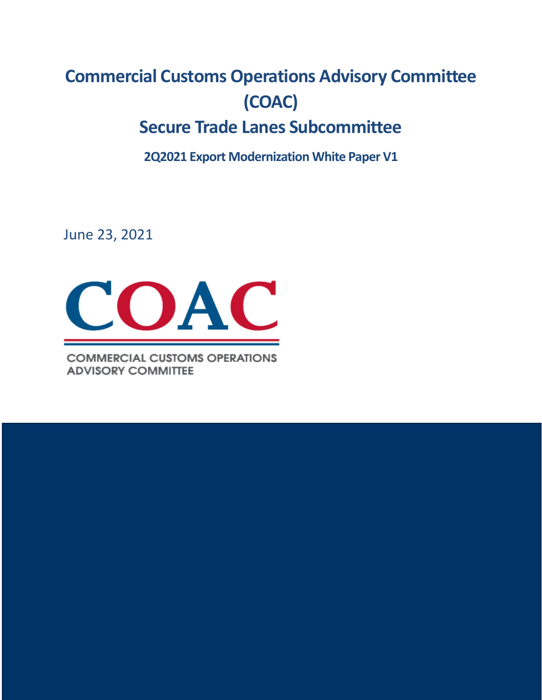## **Commercial Customs Operations Advisory Committee (COAC) Secure Trade Lanes Subcommittee**

**2Q2021 Export Modernization White Paper V1**

June 23, 2021



**COMMERCIAL CUSTOMS OPERATIONS ADVISORY COMMITTEE**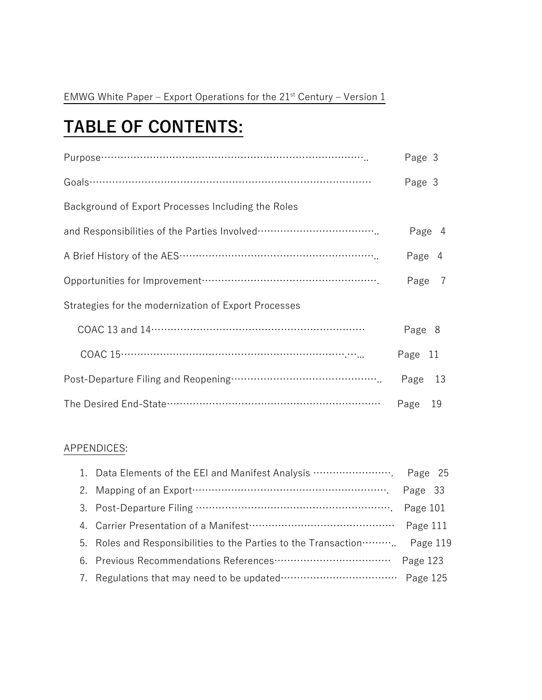# **TABLE OF CONTENTS:**

|                                                      | Page 3                 |
|------------------------------------------------------|------------------------|
|                                                      | Page 3                 |
| Background of Export Processes Including the Roles   |                        |
|                                                      | Page 4                 |
|                                                      | Page<br>$\overline{4}$ |
|                                                      | Page 7                 |
| Strategies for the modernization of Export Processes |                        |
|                                                      | Page 8                 |
|                                                      | Page 11                |
|                                                      | Page 13                |
|                                                      | 19<br>Page             |

## APPENDICES:

| 2. Mapping of an Export manufactured and the control of the State of Tage 33 |  |
|------------------------------------------------------------------------------|--|
|                                                                              |  |
|                                                                              |  |
| 5. Roles and Responsibilities to the Parties to the Transaction  Page 119    |  |
| 6. Previous Recommendations References…………………………………… Page 123                |  |
| 7. Regulations that may need to be updated………………………………… Page 125             |  |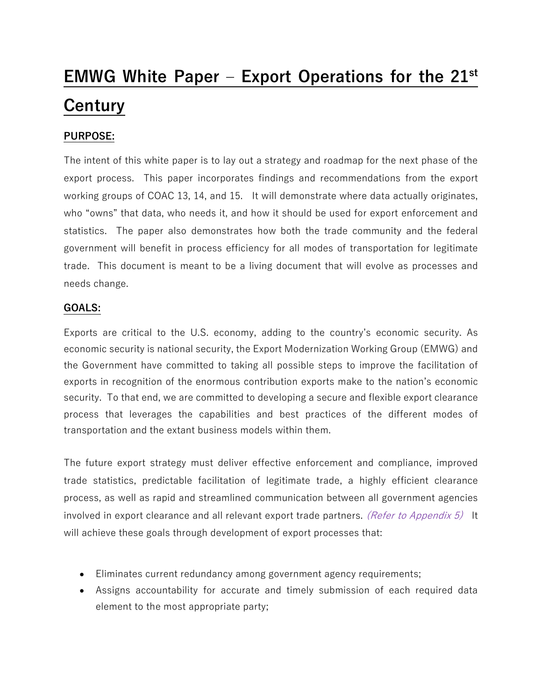# **EMWG White Paper – Export Operations for the 21st Century**

## **PURPOSE:**

The intent of this white paper is to lay out a strategy and roadmap for the next phase of the export process. This paper incorporates findings and recommendations from the export working groups of COAC 13, 14, and 15. It will demonstrate where data actually originates, who "owns" that data, who needs it, and how it should be used for export enforcement and statistics. The paper also demonstrates how both the trade community and the federal government will benefit in process efficiency for all modes of transportation for legitimate trade. This document is meant to be a living document that will evolve as processes and needs change.

## **GOALS:**

Exports are critical to the U.S. economy, adding to the country's economic security. As economic security is national security, the Export Modernization Working Group (EMWG) and the Government have committed to taking all possible steps to improve the facilitation of exports in recognition of the enormous contribution exports make to the nation's economic security. To that end, we are committed to developing a secure and flexible export clearance process that leverages the capabilities and best practices of the different modes of transportation and the extant business models within them.

The future export strategy must deliver effective enforcement and compliance, improved trade statistics, predictable facilitation of legitimate trade, a highly efficient clearance process, as well as rapid and streamlined communication between all government agencies involved in export clearance and all relevant export trade partners. (Refer to Appendix  $5$ ) It will achieve these goals through development of export processes that:

- Eliminates current redundancy among government agency requirements;
- Assigns accountability for accurate and timely submission of each required data element to the most appropriate party;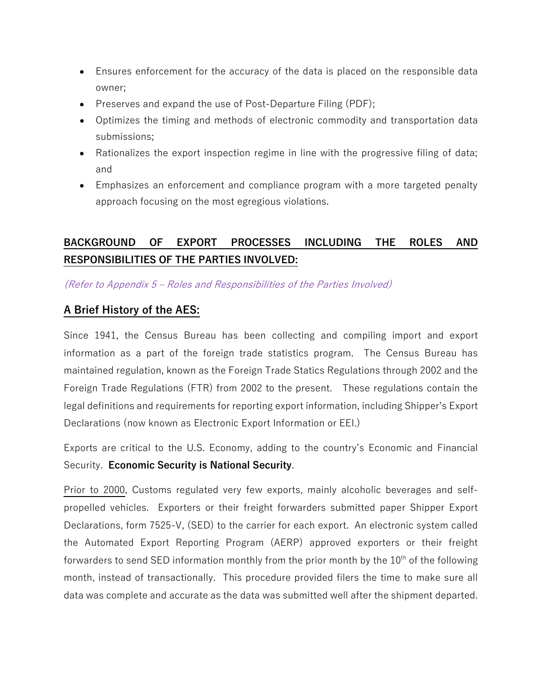- Ensures enforcement for the accuracy of the data is placed on the responsible data owner;
- Preserves and expand the use of Post-Departure Filing (PDF);
- Optimizes the timing and methods of electronic commodity and transportation data submissions;
- Rationalizes the export inspection regime in line with the progressive filing of data; and
- Emphasizes an enforcement and compliance program with a more targeted penalty approach focusing on the most egregious violations.

## **BACKGROUND OF EXPORT PROCESSES INCLUDING THE ROLES AND RESPONSIBILITIES OF THE PARTIES INVOLVED:**

(Refer to Appendix 5 – Roles and Responsibilities of the Parties Involved)

## **A Brief History of the AES:**

Since 1941, the Census Bureau has been collecting and compiling import and export information as a part of the foreign trade statistics program. The Census Bureau has maintained regulation, known as the Foreign Trade Statics Regulations through 2002 and the Foreign Trade Regulations (FTR) from 2002 to the present. These regulations contain the legal definitions and requirements for reporting export information, including Shipper's Export Declarations (now known as Electronic Export Information or EEI.)

Exports are critical to the U.S. Economy, adding to the country's Economic and Financial Security. **Economic Security is National Security**.

Prior to 2000, Customs regulated very few exports, mainly alcoholic beverages and selfpropelled vehicles. Exporters or their freight forwarders submitted paper Shipper Export Declarations, form 7525-V, (SED) to the carrier for each export. An electronic system called the Automated Export Reporting Program (AERP) approved exporters or their freight forwarders to send SED information monthly from the prior month by the  $10^{th}$  of the following month, instead of transactionally. This procedure provided filers the time to make sure all data was complete and accurate as the data was submitted well after the shipment departed.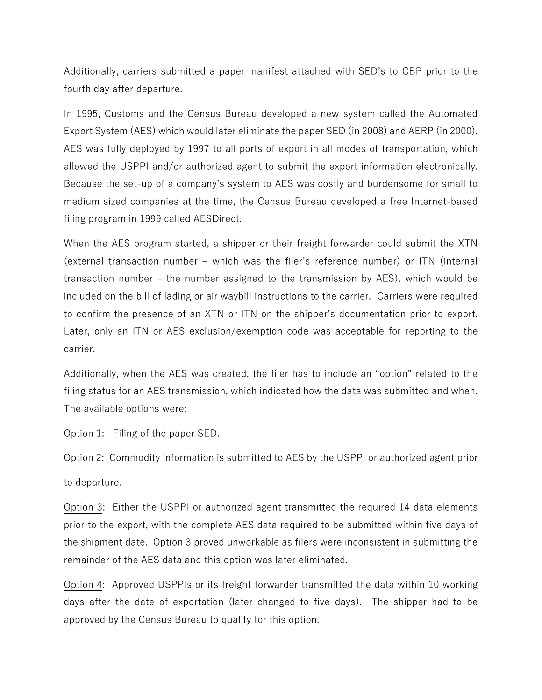Additionally, carriers submitted a paper manifest attached with SED's to CBP prior to the fourth day after departure.

In 1995, Customs and the Census Bureau developed a new system called the Automated Export System (AES) which would later eliminate the paper SED (in 2008) and AERP (in 2000). AES was fully deployed by 1997 to all ports of export in all modes of transportation, which allowed the USPPI and/or authorized agent to submit the export information electronically. Because the set-up of a company's system to AES was costly and burdensome for small to medium sized companies at the time, the Census Bureau developed a free Internet-based filing program in 1999 called AESDirect.

When the AES program started, a shipper or their freight forwarder could submit the XTN (external transaction number – which was the filer's reference number) or ITN (internal transaction number – the number assigned to the transmission by AES), which would be included on the bill of lading or air waybill instructions to the carrier. Carriers were required to confirm the presence of an XTN or ITN on the shipper's documentation prior to export. Later, only an ITN or AES exclusion/exemption code was acceptable for reporting to the carrier.

Additionally, when the AES was created, the filer has to include an "option" related to the filing status for an AES transmission, which indicated how the data was submitted and when. The available options were:

Option 1: Filing of the paper SED.

Option 2: Commodity information is submitted to AES by the USPPI or authorized agent prior to departure.

Option 3: Either the USPPI or authorized agent transmitted the required 14 data elements prior to the export, with the complete AES data required to be submitted within five days of the shipment date. Option 3 proved unworkable as filers were inconsistent in submitting the remainder of the AES data and this option was later eliminated.

Option 4: Approved USPPIs or its freight forwarder transmitted the data within 10 working days after the date of exportation (later changed to five days). The shipper had to be approved by the Census Bureau to qualify for this option.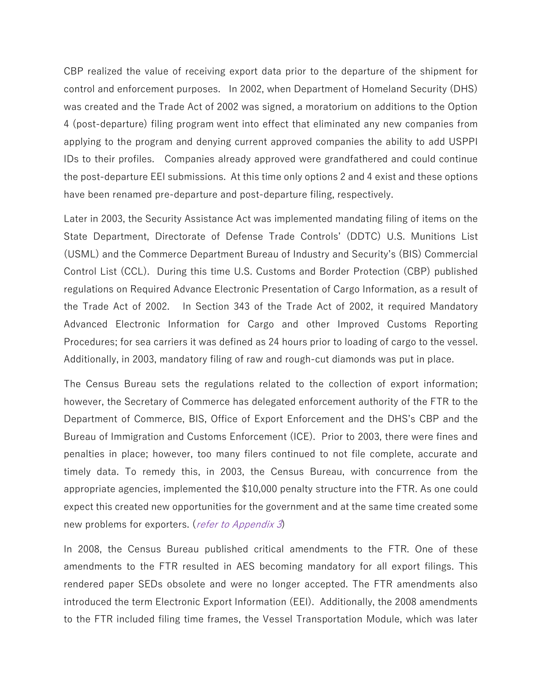CBP realized the value of receiving export data prior to the departure of the shipment for control and enforcement purposes. In 2002, when Department of Homeland Security (DHS) was created and the Trade Act of 2002 was signed, a moratorium on additions to the Option 4 (post-departure) filing program went into effect that eliminated any new companies from applying to the program and denying current approved companies the ability to add USPPI IDs to their profiles. Companies already approved were grandfathered and could continue the post-departure EEI submissions. At this time only options 2 and 4 exist and these options have been renamed pre-departure and post-departure filing, respectively.

Later in 2003, the Security Assistance Act was implemented mandating filing of items on the State Department, Directorate of Defense Trade Controls' (DDTC) U.S. Munitions List (USML) and the Commerce Department Bureau of Industry and Security's (BIS) Commercial Control List (CCL). During this time U.S. Customs and Border Protection (CBP) published regulations on Required Advance Electronic Presentation of Cargo Information, as a result of the Trade Act of 2002. In Section 343 of the Trade Act of 2002, it required Mandatory Advanced Electronic Information for Cargo and other Improved Customs Reporting Procedures; for sea carriers it was defined as 24 hours prior to loading of cargo to the vessel. Additionally, in 2003, mandatory filing of raw and rough-cut diamonds was put in place.

The Census Bureau sets the regulations related to the collection of export information; however, the Secretary of Commerce has delegated enforcement authority of the FTR to the Department of Commerce, BIS, Office of Export Enforcement and the DHS's CBP and the Bureau of Immigration and Customs Enforcement (ICE). Prior to 2003, there were fines and penalties in place; however, too many filers continued to not file complete, accurate and timely data. To remedy this, in 2003, the Census Bureau, with concurrence from the appropriate agencies, implemented the \$10,000 penalty structure into the FTR. As one could expect this created new opportunities for the government and at the same time created some new problems for exporters. (refer to Appendix 3)

In 2008, the Census Bureau published critical amendments to the FTR. One of these amendments to the FTR resulted in AES becoming mandatory for all export filings. This rendered paper SEDs obsolete and were no longer accepted. The FTR amendments also introduced the term Electronic Export Information (EEI). Additionally, the 2008 amendments to the FTR included filing time frames, the Vessel Transportation Module, which was later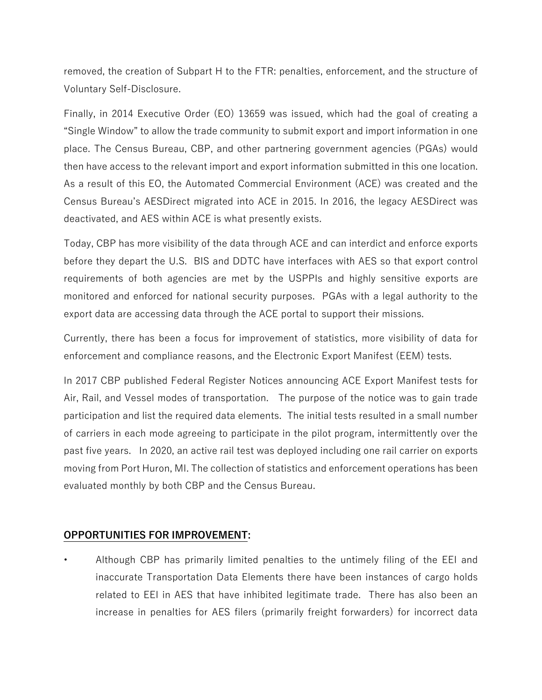removed, the creation of Subpart H to the FTR: penalties, enforcement, and the structure of Voluntary Self-Disclosure.

Finally, in 2014 Executive Order (EO) 13659 was issued, which had the goal of creating a "Single Window" to allow the trade community to submit export and import information in one place. The Census Bureau, CBP, and other partnering government agencies (PGAs) would then have access to the relevant import and export information submitted in this one location. As a result of this EO, the Automated Commercial Environment (ACE) was created and the Census Bureau's AESDirect migrated into ACE in 2015. In 2016, the legacy AESDirect was deactivated, and AES within ACE is what presently exists.

Today, CBP has more visibility of the data through ACE and can interdict and enforce exports before they depart the U.S. BIS and DDTC have interfaces with AES so that export control requirements of both agencies are met by the USPPIs and highly sensitive exports are monitored and enforced for national security purposes. PGAs with a legal authority to the export data are accessing data through the ACE portal to support their missions.

Currently, there has been a focus for improvement of statistics, more visibility of data for enforcement and compliance reasons, and the Electronic Export Manifest (EEM) tests.

In 2017 CBP published Federal Register Notices announcing ACE Export Manifest tests for Air, Rail, and Vessel modes of transportation. The purpose of the notice was to gain trade participation and list the required data elements. The initial tests resulted in a small number of carriers in each mode agreeing to participate in the pilot program, intermittently over the past five years. In 2020, an active rail test was deployed including one rail carrier on exports moving from Port Huron, MI. The collection of statistics and enforcement operations has been evaluated monthly by both CBP and the Census Bureau.

## **OPPORTUNITIES FOR IMPROVEMENT:**

• Although CBP has primarily limited penalties to the untimely filing of the EEI and inaccurate Transportation Data Elements there have been instances of cargo holds related to EEI in AES that have inhibited legitimate trade. There has also been an increase in penalties for AES filers (primarily freight forwarders) for incorrect data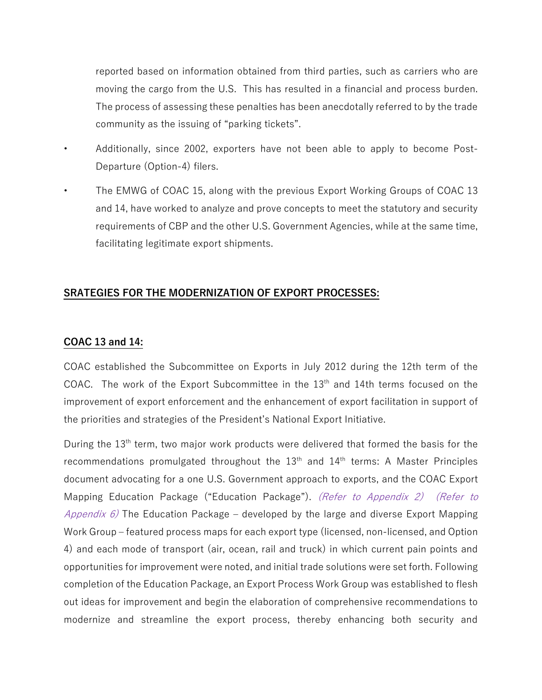reported based on information obtained from third parties, such as carriers who are moving the cargo from the U.S. This has resulted in a financial and process burden. The process of assessing these penalties has been anecdotally referred to by the trade community as the issuing of "parking tickets".

- Additionally, since 2002, exporters have not been able to apply to become Post-Departure (Option-4) filers.
- The EMWG of COAC 15, along with the previous Export Working Groups of COAC 13 and 14, have worked to analyze and prove concepts to meet the statutory and security requirements of CBP and the other U.S. Government Agencies, while at the same time, facilitating legitimate export shipments.

## **SRATEGIES FOR THE MODERNIZATION OF EXPORT PROCESSES:**

#### **COAC 13 and 14:**

COAC established the Subcommittee on Exports in July 2012 during the 12th term of the COAC. The work of the Export Subcommittee in the  $13<sup>th</sup>$  and 14th terms focused on the improvement of export enforcement and the enhancement of export facilitation in support of the priorities and strategies of the President's National Export Initiative.

During the 13<sup>th</sup> term, two major work products were delivered that formed the basis for the recommendations promulgated throughout the  $13<sup>th</sup>$  and  $14<sup>th</sup>$  terms: A Master Principles document advocating for a one U.S. Government approach to exports, and the COAC Export Mapping Education Package ("Education Package"). (Refer to Appendix 2) (Refer to *Appendix 6*) The Education Package – developed by the large and diverse Export Mapping Work Group – featured process maps for each export type (licensed, non-licensed, and Option 4) and each mode of transport (air, ocean, rail and truck) in which current pain points and opportunities for improvement were noted, and initial trade solutions were set forth. Following completion of the Education Package, an Export Process Work Group was established to flesh out ideas for improvement and begin the elaboration of comprehensive recommendations to modernize and streamline the export process, thereby enhancing both security and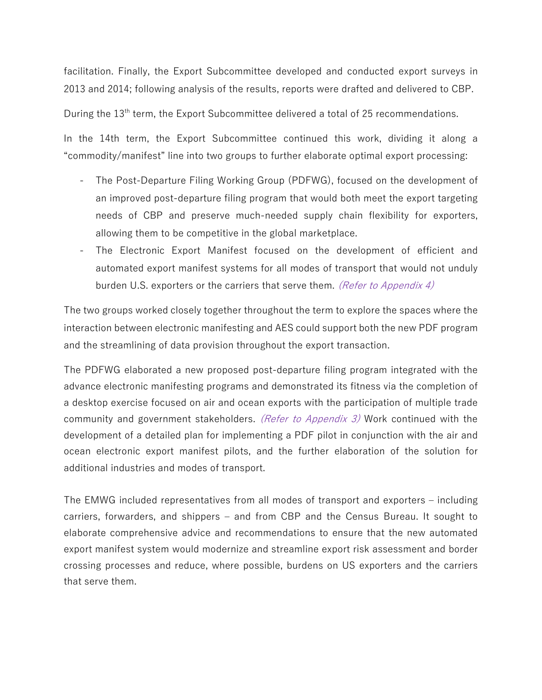facilitation. Finally, the Export Subcommittee developed and conducted export surveys in 2013 and 2014; following analysis of the results, reports were drafted and delivered to CBP.

## During the 13<sup>th</sup> term, the Export Subcommittee delivered a total of 25 recommendations.

In the 14th term, the Export Subcommittee continued this work, dividing it along a "commodity/manifest" line into two groups to further elaborate optimal export processing:

- The Post-Departure Filing Working Group (PDFWG), focused on the development of an improved post-departure filing program that would both meet the export targeting needs of CBP and preserve much-needed supply chain flexibility for exporters, allowing them to be competitive in the global marketplace.
- The Electronic Export Manifest focused on the development of efficient and automated export manifest systems for all modes of transport that would not unduly burden U.S. exporters or the carriers that serve them. (Refer to Appendix 4)

The two groups worked closely together throughout the term to explore the spaces where the interaction between electronic manifesting and AES could support both the new PDF program and the streamlining of data provision throughout the export transaction.

The PDFWG elaborated a new proposed post-departure filing program integrated with the advance electronic manifesting programs and demonstrated its fitness via the completion of a desktop exercise focused on air and ocean exports with the participation of multiple trade community and government stakeholders. (Refer to Appendix 3) Work continued with the development of a detailed plan for implementing a PDF pilot in conjunction with the air and ocean electronic export manifest pilots, and the further elaboration of the solution for additional industries and modes of transport.

The EMWG included representatives from all modes of transport and exporters – including carriers, forwarders, and shippers – and from CBP and the Census Bureau. It sought to elaborate comprehensive advice and recommendations to ensure that the new automated export manifest system would modernize and streamline export risk assessment and border crossing processes and reduce, where possible, burdens on US exporters and the carriers that serve them.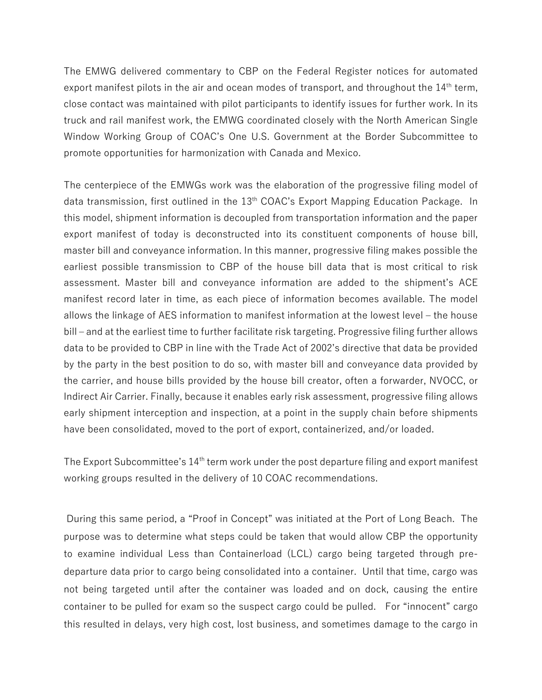The EMWG delivered commentary to CBP on the Federal Register notices for automated export manifest pilots in the air and ocean modes of transport, and throughout the  $14<sup>th</sup>$  term, close contact was maintained with pilot participants to identify issues for further work. In its truck and rail manifest work, the EMWG coordinated closely with the North American Single Window Working Group of COAC's One U.S. Government at the Border Subcommittee to promote opportunities for harmonization with Canada and Mexico.

The centerpiece of the EMWGs work was the elaboration of the progressive filing model of data transmission, first outlined in the 13<sup>th</sup> COAC's Export Mapping Education Package. In this model, shipment information is decoupled from transportation information and the paper export manifest of today is deconstructed into its constituent components of house bill, master bill and conveyance information. In this manner, progressive filing makes possible the earliest possible transmission to CBP of the house bill data that is most critical to risk assessment. Master bill and conveyance information are added to the shipment's ACE manifest record later in time, as each piece of information becomes available. The model allows the linkage of AES information to manifest information at the lowest level – the house bill – and at the earliest time to further facilitate risk targeting. Progressive filing further allows data to be provided to CBP in line with the Trade Act of 2002's directive that data be provided by the party in the best position to do so, with master bill and conveyance data provided by the carrier, and house bills provided by the house bill creator, often a forwarder, NVOCC, or Indirect Air Carrier. Finally, because it enables early risk assessment, progressive filing allows early shipment interception and inspection, at a point in the supply chain before shipments have been consolidated, moved to the port of export, containerized, and/or loaded.

The Export Subcommittee's 14<sup>th</sup> term work under the post departure filing and export manifest working groups resulted in the delivery of 10 COAC recommendations.

During this same period, a "Proof in Concept" was initiated at the Port of Long Beach. The purpose was to determine what steps could be taken that would allow CBP the opportunity to examine individual Less than Containerload (LCL) cargo being targeted through predeparture data prior to cargo being consolidated into a container. Until that time, cargo was not being targeted until after the container was loaded and on dock, causing the entire container to be pulled for exam so the suspect cargo could be pulled. For "innocent" cargo this resulted in delays, very high cost, lost business, and sometimes damage to the cargo in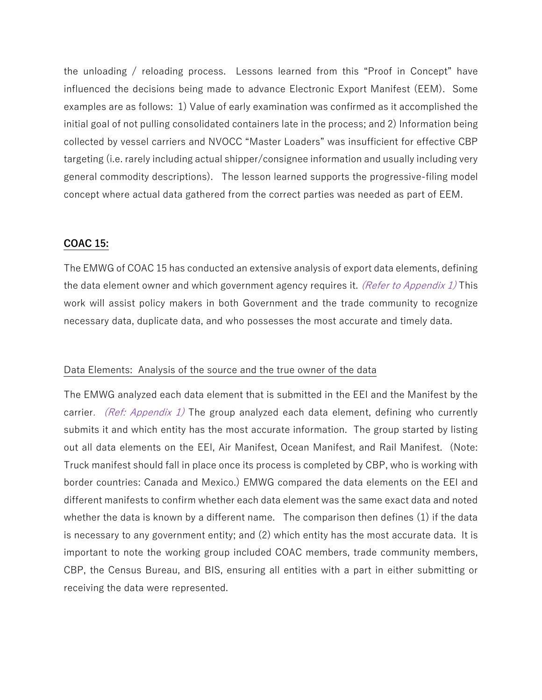the unloading / reloading process. Lessons learned from this "Proof in Concept" have influenced the decisions being made to advance Electronic Export Manifest (EEM). Some examples are as follows: 1) Value of early examination was confirmed as it accomplished the initial goal of not pulling consolidated containers late in the process; and 2) Information being collected by vessel carriers and NVOCC "Master Loaders" was insufficient for effective CBP targeting (i.e. rarely including actual shipper/consignee information and usually including very general commodity descriptions). The lesson learned supports the progressive-filing model concept where actual data gathered from the correct parties was needed as part of EEM.

#### **COAC 15:**

The EMWG of COAC 15 has conducted an extensive analysis of export data elements, defining the data element owner and which government agency requires it. (Refer to Appendix 1) This work will assist policy makers in both Government and the trade community to recognize necessary data, duplicate data, and who possesses the most accurate and timely data.

#### Data Elements: Analysis of the source and the true owner of the data

The EMWG analyzed each data element that is submitted in the EEI and the Manifest by the carrier. (Ref: Appendix 1) The group analyzed each data element, defining who currently submits it and which entity has the most accurate information. The group started by listing out all data elements on the EEI, Air Manifest, Ocean Manifest, and Rail Manifest. (Note: Truck manifest should fall in place once its process is completed by CBP, who is working with border countries: Canada and Mexico.) EMWG compared the data elements on the EEI and different manifests to confirm whether each data element was the same exact data and noted whether the data is known by a different name. The comparison then defines (1) if the data is necessary to any government entity; and (2) which entity has the most accurate data. It is important to note the working group included COAC members, trade community members, CBP, the Census Bureau, and BIS, ensuring all entities with a part in either submitting or receiving the data were represented.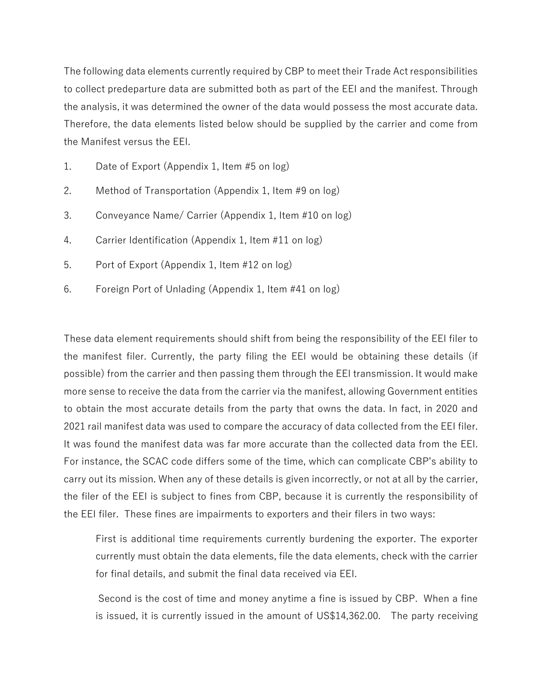The following data elements currently required by CBP to meet their Trade Act responsibilities to collect predeparture data are submitted both as part of the EEI and the manifest. Through the analysis, it was determined the owner of the data would possess the most accurate data. Therefore, the data elements listed below should be supplied by the carrier and come from the Manifest versus the EEI.

- 1. Date of Export (Appendix 1, Item #5 on log)
- 2. Method of Transportation (Appendix 1, Item #9 on log)
- 3. Conveyance Name/ Carrier (Appendix 1, Item #10 on log)
- 4. Carrier Identification (Appendix 1, Item #11 on log)
- 5. Port of Export (Appendix 1, Item #12 on log)
- 6. Foreign Port of Unlading (Appendix 1, Item #41 on log)

These data element requirements should shift from being the responsibility of the EEI filer to the manifest filer. Currently, the party filing the EEI would be obtaining these details (if possible) from the carrier and then passing them through the EEI transmission. It would make more sense to receive the data from the carrier via the manifest, allowing Government entities to obtain the most accurate details from the party that owns the data. In fact, in 2020 and 2021 rail manifest data was used to compare the accuracy of data collected from the EEI filer. It was found the manifest data was far more accurate than the collected data from the EEI. For instance, the SCAC code differs some of the time, which can complicate CBP's ability to carry out its mission. When any of these details is given incorrectly, or not at all by the carrier, the filer of the EEI is subject to fines from CBP, because it is currently the responsibility of the EEI filer. These fines are impairments to exporters and their filers in two ways:

First is additional time requirements currently burdening the exporter. The exporter currently must obtain the data elements, file the data elements, check with the carrier for final details, and submit the final data received via EEI.

Second is the cost of time and money anytime a fine is issued by CBP. When a fine is issued, it is currently issued in the amount of US\$14,362.00. The party receiving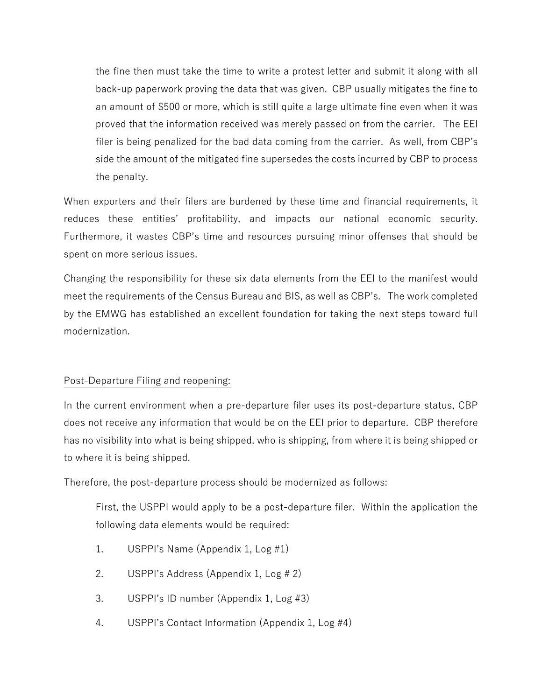the fine then must take the time to write a protest letter and submit it along with all back-up paperwork proving the data that was given. CBP usually mitigates the fine to an amount of \$500 or more, which is still quite a large ultimate fine even when it was proved that the information received was merely passed on from the carrier. The EEI filer is being penalized for the bad data coming from the carrier. As well, from CBP's side the amount of the mitigated fine supersedes the costs incurred by CBP to process the penalty.

When exporters and their filers are burdened by these time and financial requirements, it reduces these entities' profitability, and impacts our national economic security. Furthermore, it wastes CBP's time and resources pursuing minor offenses that should be spent on more serious issues.

Changing the responsibility for these six data elements from the EEI to the manifest would meet the requirements of the Census Bureau and BIS, as well as CBP's. The work completed by the EMWG has established an excellent foundation for taking the next steps toward full modernization.

## Post-Departure Filing and reopening:

In the current environment when a pre-departure filer uses its post-departure status, CBP does not receive any information that would be on the EEI prior to departure. CBP therefore has no visibility into what is being shipped, who is shipping, from where it is being shipped or to where it is being shipped.

Therefore, the post-departure process should be modernized as follows:

First, the USPPI would apply to be a post-departure filer. Within the application the following data elements would be required:

- 1. USPPI's Name (Appendix 1, Log #1)
- 2. USPPI's Address (Appendix 1, Log # 2)
- 3. USPPI's ID number (Appendix 1, Log #3)
- 4. USPPI's Contact Information (Appendix 1, Log #4)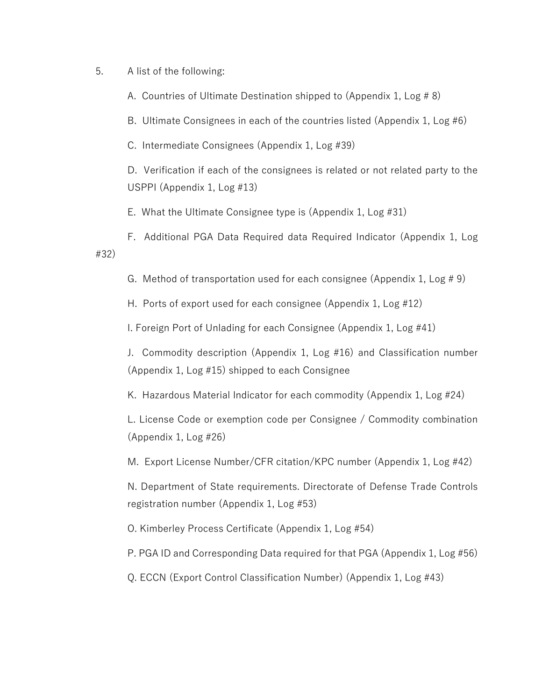5. A list of the following:

A. Countries of Ultimate Destination shipped to (Appendix 1, Log # 8)

B. Ultimate Consignees in each of the countries listed (Appendix 1, Log #6)

C. Intermediate Consignees (Appendix 1, Log #39)

D. Verification if each of the consignees is related or not related party to the USPPI (Appendix 1, Log #13)

E. What the Ultimate Consignee type is (Appendix 1, Log #31)

F. Additional PGA Data Required data Required Indicator (Appendix 1, Log #32)

G. Method of transportation used for each consignee (Appendix 1, Log # 9)

H. Ports of export used for each consignee (Appendix 1, Log #12)

I. Foreign Port of Unlading for each Consignee (Appendix 1, Log #41)

J. Commodity description (Appendix 1, Log #16) and Classification number (Appendix 1, Log #15) shipped to each Consignee

K. Hazardous Material Indicator for each commodity (Appendix 1, Log #24)

L. License Code or exemption code per Consignee / Commodity combination (Appendix 1, Log #26)

M. Export License Number/CFR citation/KPC number (Appendix 1, Log #42)

N. Department of State requirements. Directorate of Defense Trade Controls registration number (Appendix 1, Log #53)

O. Kimberley Process Certificate (Appendix 1, Log #54)

P. PGA ID and Corresponding Data required for that PGA (Appendix 1, Log #56)

Q. ECCN (Export Control Classification Number) (Appendix 1, Log #43)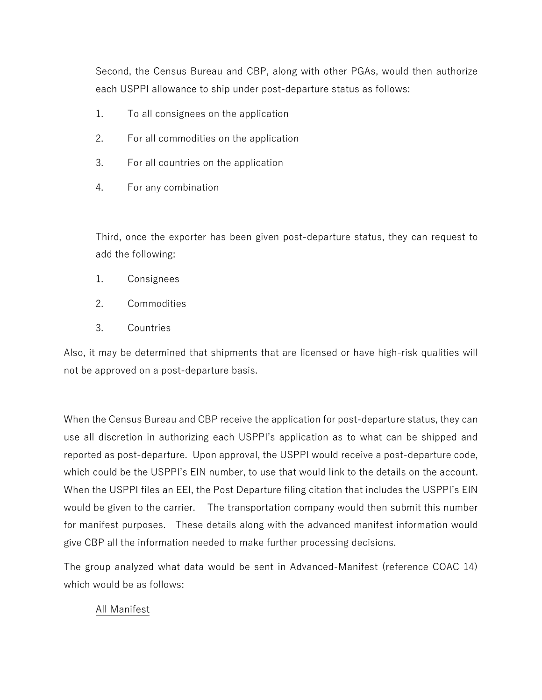Second, the Census Bureau and CBP, along with other PGAs, would then authorize each USPPI allowance to ship under post-departure status as follows:

- 1. To all consignees on the application
- 2. For all commodities on the application
- 3. For all countries on the application
- 4. For any combination

Third, once the exporter has been given post-departure status, they can request to add the following:

- 1. Consignees
- 2. Commodities
- 3. Countries

Also, it may be determined that shipments that are licensed or have high-risk qualities will not be approved on a post-departure basis.

When the Census Bureau and CBP receive the application for post-departure status, they can use all discretion in authorizing each USPPI's application as to what can be shipped and reported as post-departure. Upon approval, the USPPI would receive a post-departure code, which could be the USPPI's EIN number, to use that would link to the details on the account. When the USPPI files an EEI, the Post Departure filing citation that includes the USPPI's EIN would be given to the carrier. The transportation company would then submit this number for manifest purposes. These details along with the advanced manifest information would give CBP all the information needed to make further processing decisions.

The group analyzed what data would be sent in Advanced-Manifest (reference COAC 14) which would be as follows:

## All Manifest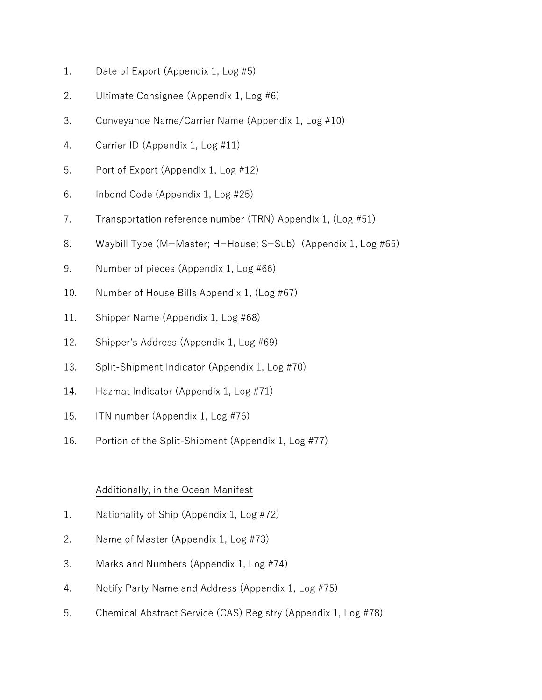- 1. Date of Export (Appendix 1, Log #5)
- 2. Ultimate Consignee (Appendix 1, Log #6)
- 3. Conveyance Name/Carrier Name (Appendix 1, Log #10)
- 4. Carrier ID (Appendix 1, Log #11)
- 5. Port of Export (Appendix 1, Log #12)
- 6. Inbond Code (Appendix 1, Log #25)
- 7. Transportation reference number (TRN) Appendix 1, (Log #51)
- 8. Waybill Type (M=Master; H=House; S=Sub) (Appendix 1, Log #65)
- 9. Number of pieces (Appendix 1, Log #66)
- 10. Number of House Bills Appendix 1, (Log #67)
- 11. Shipper Name (Appendix 1, Log #68)
- 12. Shipper's Address (Appendix 1, Log #69)
- 13. Split-Shipment Indicator (Appendix 1, Log #70)
- 14. Hazmat Indicator (Appendix 1, Log #71)
- 15. ITN number (Appendix 1, Log #76)
- 16. Portion of the Split-Shipment (Appendix 1, Log #77)

## Additionally, in the Ocean Manifest

- 1. Nationality of Ship (Appendix 1, Log #72)
- 2. Name of Master (Appendix 1, Log #73)
- 3. Marks and Numbers (Appendix 1, Log #74)
- 4. Notify Party Name and Address (Appendix 1, Log #75)
- 5. Chemical Abstract Service (CAS) Registry (Appendix 1, Log #78)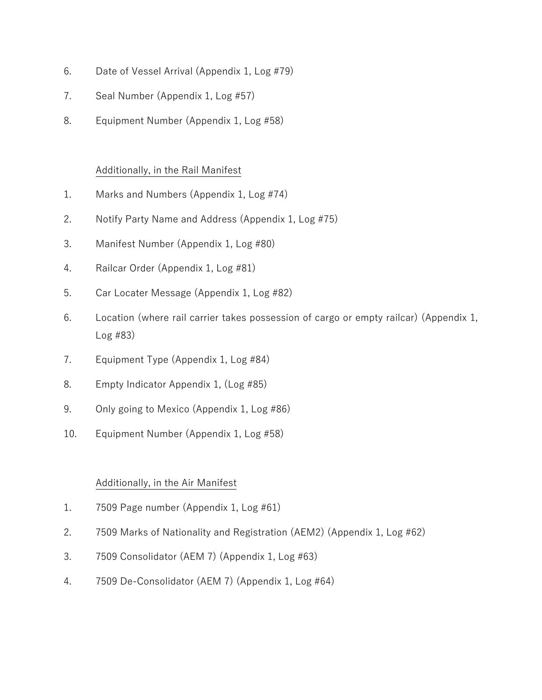- 6. Date of Vessel Arrival (Appendix 1, Log #79)
- 7. Seal Number (Appendix 1, Log #57)
- 8. Equipment Number (Appendix 1, Log #58)

## Additionally, in the Rail Manifest

- 1. Marks and Numbers (Appendix 1, Log #74)
- 2. Notify Party Name and Address (Appendix 1, Log #75)
- 3. Manifest Number (Appendix 1, Log #80)
- 4. Railcar Order (Appendix 1, Log #81)
- 5. Car Locater Message (Appendix 1, Log #82)
- 6. Location (where rail carrier takes possession of cargo or empty railcar) (Appendix 1, Log #83)
- 7. Equipment Type (Appendix 1, Log #84)
- 8. Empty Indicator Appendix 1, (Log #85)
- 9. Only going to Mexico (Appendix 1, Log #86)
- 10. Equipment Number (Appendix 1, Log #58)

## Additionally, in the Air Manifest

- 1. 7509 Page number (Appendix 1, Log #61)
- 2. 7509 Marks of Nationality and Registration (AEM2) (Appendix 1, Log #62)
- 3. 7509 Consolidator (AEM 7) (Appendix 1, Log #63)
- 4. 7509 De-Consolidator (AEM 7) (Appendix 1, Log #64)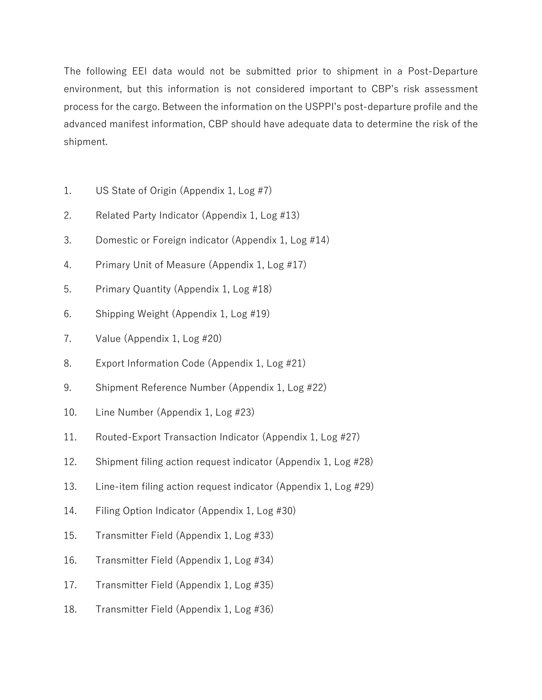The following EEI data would not be submitted prior to shipment in a Post-Departure environment, but this information is not considered important to CBP's risk assessment process for the cargo. Between the information on the USPPI's post-departure profile and the advanced manifest information, CBP should have adequate data to determine the risk of the shipment.

- 1. US State of Origin (Appendix 1, Log #7)
- 2. Related Party Indicator (Appendix 1, Log #13)
- 3. Domestic or Foreign indicator (Appendix 1, Log #14)
- 4. Primary Unit of Measure (Appendix 1, Log #17)
- 5. Primary Quantity (Appendix 1, Log #18)
- 6. Shipping Weight (Appendix 1, Log #19)
- 7. Value (Appendix 1, Log #20)
- 8. Export Information Code (Appendix 1, Log #21)
- 9. Shipment Reference Number (Appendix 1, Log #22)
- 10. Line Number (Appendix 1, Log #23)
- 11. Routed-Export Transaction Indicator (Appendix 1, Log #27)
- 12. Shipment filing action request indicator (Appendix 1, Log #28)
- 13. Line-item filing action request indicator (Appendix 1, Log #29)
- 14. Filing Option Indicator (Appendix 1, Log #30)
- 15. Transmitter Field (Appendix 1, Log #33)
- 16. Transmitter Field (Appendix 1, Log #34)
- 17. Transmitter Field (Appendix 1, Log #35)
- 18. Transmitter Field (Appendix 1, Log #36)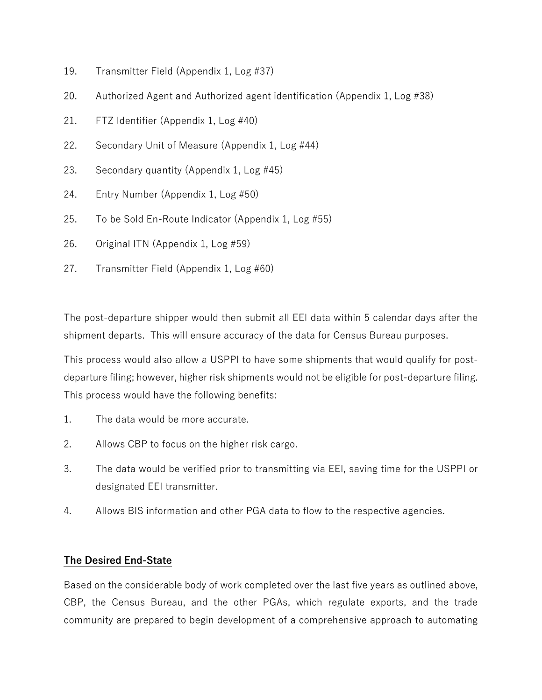- 19. Transmitter Field (Appendix 1, Log #37)
- 20. Authorized Agent and Authorized agent identification (Appendix 1, Log #38)
- 21. FTZ Identifier (Appendix 1, Log #40)
- 22. Secondary Unit of Measure (Appendix 1, Log #44)
- 23. Secondary quantity (Appendix 1, Log #45)
- 24. Entry Number (Appendix 1, Log #50)
- 25. To be Sold En-Route Indicator (Appendix 1, Log #55)
- 26. Original ITN (Appendix 1, Log #59)
- 27. Transmitter Field (Appendix 1, Log #60)

The post-departure shipper would then submit all EEI data within 5 calendar days after the shipment departs. This will ensure accuracy of the data for Census Bureau purposes.

This process would also allow a USPPI to have some shipments that would qualify for postdeparture filing; however, higher risk shipments would not be eligible for post-departure filing. This process would have the following benefits:

- 1. The data would be more accurate.
- 2. Allows CBP to focus on the higher risk cargo.
- 3. The data would be verified prior to transmitting via EEI, saving time for the USPPI or designated EEI transmitter.
- 4. Allows BIS information and other PGA data to flow to the respective agencies.

## **The Desired End-State**

Based on the considerable body of work completed over the last five years as outlined above, CBP, the Census Bureau, and the other PGAs, which regulate exports, and the trade community are prepared to begin development of a comprehensive approach to automating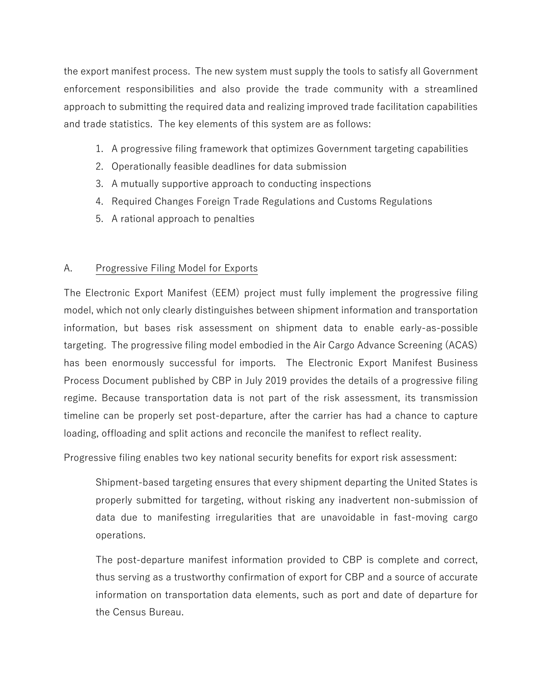the export manifest process. The new system must supply the tools to satisfy all Government enforcement responsibilities and also provide the trade community with a streamlined approach to submitting the required data and realizing improved trade facilitation capabilities and trade statistics. The key elements of this system are as follows:

- 1. A progressive filing framework that optimizes Government targeting capabilities
- 2. Operationally feasible deadlines for data submission
- 3. A mutually supportive approach to conducting inspections
- 4. Required Changes Foreign Trade Regulations and Customs Regulations
- 5. A rational approach to penalties

## A. Progressive Filing Model for Exports

The Electronic Export Manifest (EEM) project must fully implement the progressive filing model, which not only clearly distinguishes between shipment information and transportation information, but bases risk assessment on shipment data to enable early-as-possible targeting. The progressive filing model embodied in the Air Cargo Advance Screening (ACAS) has been enormously successful for imports. The Electronic Export Manifest Business Process Document published by CBP in July 2019 provides the details of a progressive filing regime. Because transportation data is not part of the risk assessment, its transmission timeline can be properly set post-departure, after the carrier has had a chance to capture loading, offloading and split actions and reconcile the manifest to reflect reality.

Progressive filing enables two key national security benefits for export risk assessment:

Shipment-based targeting ensures that every shipment departing the United States is properly submitted for targeting, without risking any inadvertent non-submission of data due to manifesting irregularities that are unavoidable in fast-moving cargo operations.

The post-departure manifest information provided to CBP is complete and correct, thus serving as a trustworthy confirmation of export for CBP and a source of accurate information on transportation data elements, such as port and date of departure for the Census Bureau.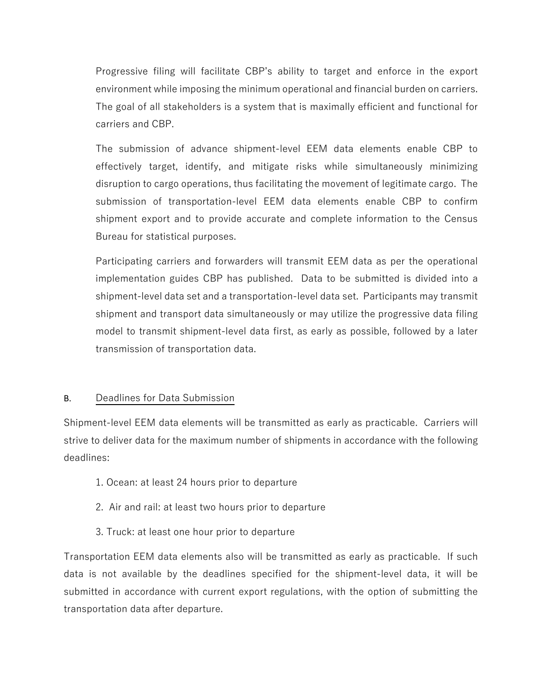Progressive filing will facilitate CBP's ability to target and enforce in the export environment while imposing the minimum operational and financial burden on carriers. The goal of all stakeholders is a system that is maximally efficient and functional for carriers and CBP.

The submission of advance shipment-level EEM data elements enable CBP to effectively target, identify, and mitigate risks while simultaneously minimizing disruption to cargo operations, thus facilitating the movement of legitimate cargo. The submission of transportation-level EEM data elements enable CBP to confirm shipment export and to provide accurate and complete information to the Census Bureau for statistical purposes.

Participating carriers and forwarders will transmit EEM data as per the operational implementation guides CBP has published. Data to be submitted is divided into a shipment-level data set and a transportation-level data set. Participants may transmit shipment and transport data simultaneously or may utilize the progressive data filing model to transmit shipment-level data first, as early as possible, followed by a later transmission of transportation data.

## B. Deadlines for Data Submission

Shipment-level EEM data elements will be transmitted as early as practicable. Carriers will strive to deliver data for the maximum number of shipments in accordance with the following deadlines:

- 1. Ocean: at least 24 hours prior to departure
- 2. Air and rail: at least two hours prior to departure
- 3. Truck: at least one hour prior to departure

Transportation EEM data elements also will be transmitted as early as practicable. If such data is not available by the deadlines specified for the shipment-level data, it will be submitted in accordance with current export regulations, with the option of submitting the transportation data after departure.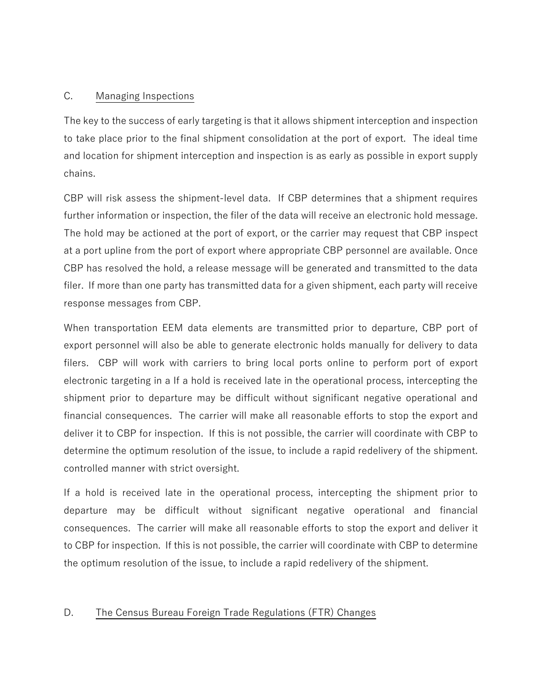## C. Managing Inspections

The key to the success of early targeting is that it allows shipment interception and inspection to take place prior to the final shipment consolidation at the port of export. The ideal time and location for shipment interception and inspection is as early as possible in export supply chains.

CBP will risk assess the shipment-level data. If CBP determines that a shipment requires further information or inspection, the filer of the data will receive an electronic hold message. The hold may be actioned at the port of export, or the carrier may request that CBP inspect at a port upline from the port of export where appropriate CBP personnel are available. Once CBP has resolved the hold, a release message will be generated and transmitted to the data filer. If more than one party has transmitted data for a given shipment, each party will receive response messages from CBP.

When transportation EEM data elements are transmitted prior to departure, CBP port of export personnel will also be able to generate electronic holds manually for delivery to data filers. CBP will work with carriers to bring local ports online to perform port of export electronic targeting in a If a hold is received late in the operational process, intercepting the shipment prior to departure may be difficult without significant negative operational and financial consequences. The carrier will make all reasonable efforts to stop the export and deliver it to CBP for inspection. If this is not possible, the carrier will coordinate with CBP to determine the optimum resolution of the issue, to include a rapid redelivery of the shipment. controlled manner with strict oversight.

If a hold is received late in the operational process, intercepting the shipment prior to departure may be difficult without significant negative operational and financial consequences. The carrier will make all reasonable efforts to stop the export and deliver it to CBP for inspection. If this is not possible, the carrier will coordinate with CBP to determine the optimum resolution of the issue, to include a rapid redelivery of the shipment.

## D. The Census Bureau Foreign Trade Regulations (FTR) Changes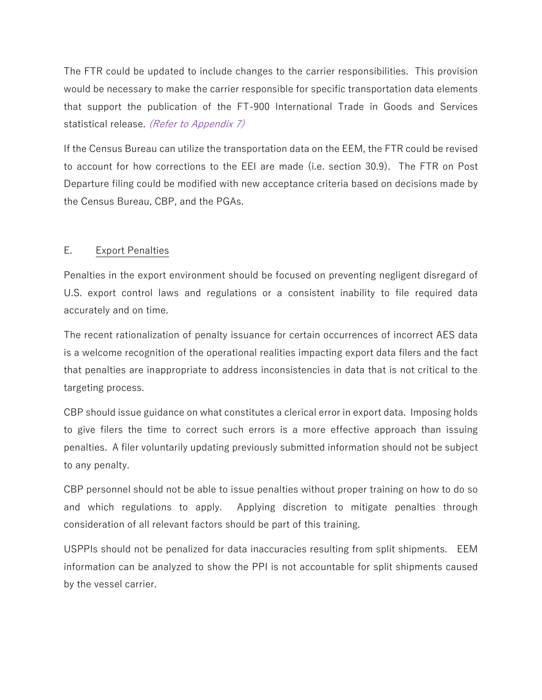The FTR could be updated to include changes to the carrier responsibilities. This provision would be necessary to make the carrier responsible for specific transportation data elements that support the publication of the FT-900 International Trade in Goods and Services statistical release. (Refer to Appendix 7)

If the Census Bureau can utilize the transportation data on the EEM, the FTR could be revised to account for how corrections to the EEI are made (i.e. section 30.9). The FTR on Post Departure filing could be modified with new acceptance criteria based on decisions made by the Census Bureau, CBP, and the PGAs.

## E. Export Penalties

Penalties in the export environment should be focused on preventing negligent disregard of U.S. export control laws and regulations or a consistent inability to file required data accurately and on time.

The recent rationalization of penalty issuance for certain occurrences of incorrect AES data is a welcome recognition of the operational realities impacting export data filers and the fact that penalties are inappropriate to address inconsistencies in data that is not critical to the targeting process.

CBP should issue guidance on what constitutes a clerical error in export data. Imposing holds to give filers the time to correct such errors is a more effective approach than issuing penalties. A filer voluntarily updating previously submitted information should not be subject to any penalty.

CBP personnel should not be able to issue penalties without proper training on how to do so and which regulations to apply. Applying discretion to mitigate penalties through consideration of all relevant factors should be part of this training.

USPPIs should not be penalized for data inaccuracies resulting from split shipments. EEM information can be analyzed to show the PPI is not accountable for split shipments caused by the vessel carrier.